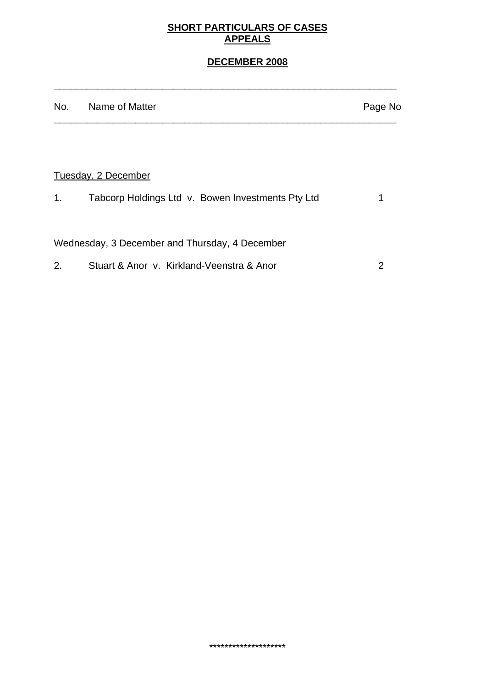## **SHORT PARTICULARS OF CASES APPEALS**

## **DECEMBER 2008**

| No. | Name of Matter                                    | Page No |
|-----|---------------------------------------------------|---------|
|     |                                                   |         |
|     | Tuesday, 2 December                               |         |
| 1.  | Tabcorp Holdings Ltd v. Bowen Investments Pty Ltd | 1       |
|     | Wednesday, 3 December and Thursday, 4 December    |         |
| 2.  | Stuart & Anor y. Kirkland-Veenstra & Anor         | 2       |

\_\_\_\_\_\_\_\_\_\_\_\_\_\_\_\_\_\_\_\_\_\_\_\_\_\_\_\_\_\_\_\_\_\_\_\_\_\_\_\_\_\_\_\_\_\_\_\_\_\_\_\_\_\_\_\_\_\_\_\_\_\_\_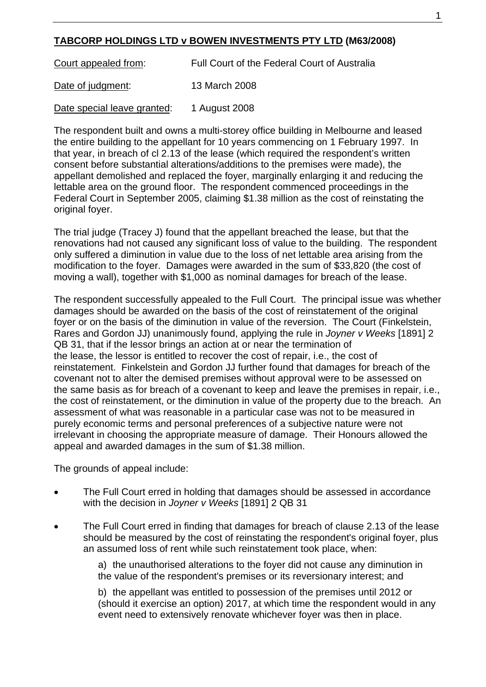## **TABCORP HOLDINGS LTD v BOWEN INVESTMENTS PTY LTD (M63/2008)**

Court appealed from:Full Court of the Federal Court of Australia Date of judgment: 13 March 2008

Date special leave granted: 1 August 2008

The respondent built and owns a multi-storey office building in Melbourne and leased the entire building to the appellant for 10 years commencing on 1 February 1997. In that year, in breach of cl 2.13 of the lease (which required the respondent's written consent before substantial alterations/additions to the premises were made), the appellant demolished and replaced the foyer, marginally enlarging it and reducing the lettable area on the ground floor. The respondent commenced proceedings in the Federal Court in September 2005, claiming \$1.38 million as the cost of reinstating the original foyer.

The trial judge (Tracey J) found that the appellant breached the lease, but that the renovations had not caused any significant loss of value to the building. The respondent only suffered a diminution in value due to the loss of net lettable area arising from the modification to the foyer. Damages were awarded in the sum of \$33,820 (the cost of moving a wall), together with \$1,000 as nominal damages for breach of the lease.

The respondent successfully appealed to the Full Court. The principal issue was whether damages should be awarded on the basis of the cost of reinstatement of the original foyer or on the basis of the diminution in value of the reversion. The Court (Finkelstein, Rares and Gordon JJ) unanimously found, applying the rule in *Joyner v Weeks* [1891] 2 QB 31, that if the lessor brings an action at or near the termination of the lease, the lessor is entitled to recover the cost of repair, i.e., the cost of reinstatement. Finkelstein and Gordon JJ further found that damages for breach of the covenant not to alter the demised premises without approval were to be assessed on the same basis as for breach of a covenant to keep and leave the premises in repair, i.e., the cost of reinstatement, or the diminution in value of the property due to the breach. An assessment of what was reasonable in a particular case was not to be measured in purely economic terms and personal preferences of a subjective nature were not irrelevant in choosing the appropriate measure of damage. Their Honours allowed the appeal and awarded damages in the sum of \$1.38 million.

The grounds of appeal include:

- The Full Court erred in holding that damages should be assessed in accordance with the decision in *Joyner v Weeks* [1891] 2 QB 31
- The Full Court erred in finding that damages for breach of clause 2.13 of the lease should be measured by the cost of reinstating the respondent's original foyer, plus an assumed loss of rent while such reinstatement took place, when:

a) the unauthorised alterations to the foyer did not cause any diminution in the value of the respondent's premises or its reversionary interest; and

b) the appellant was entitled to possession of the premises until 2012 or (should it exercise an option) 2017, at which time the respondent would in any event need to extensively renovate whichever foyer was then in place.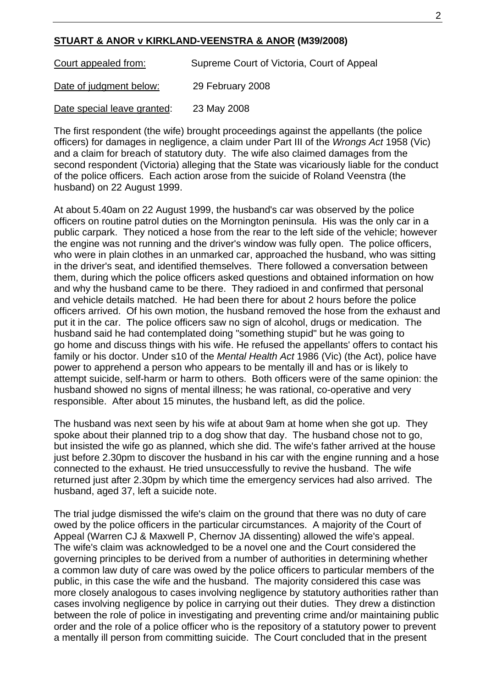## **STUART & ANOR v KIRKLAND-VEENSTRA & ANOR (M39/2008)**

Court appealed from: Supreme Court of Victoria, Court of Appeal Date of judgment below: 29 February 2008

Date special leave granted: 23 May 2008

The first respondent (the wife) brought proceedings against the appellants (the police officers) for damages in negligence, a claim under Part III of the *Wrongs Act* 1958 (Vic) and a claim for breach of statutory duty. The wife also claimed damages from the second respondent (Victoria) alleging that the State was vicariously liable for the conduct of the police officers. Each action arose from the suicide of Roland Veenstra (the husband) on 22 August 1999.

At about 5.40am on 22 August 1999, the husband's car was observed by the police officers on routine patrol duties on the Mornington peninsula. His was the only car in a public carpark. They noticed a hose from the rear to the left side of the vehicle; however the engine was not running and the driver's window was fully open.The police officers, who were in plain clothes in an unmarked car, approached the husband, who was sitting in the driver's seat, and identified themselves. There followed a conversation between them, during which the police officers asked questions and obtained information on how and why the husband came to be there. They radioed in and confirmed that personal and vehicle details matched. He had been there for about 2 hours before the police officers arrived. Of his own motion, the husband removed the hose from the exhaust and put it in the car. The police officers saw no sign of alcohol, drugs or medication. The husband said he had contemplated doing "something stupid" but he was going to go home and discuss things with his wife. He refused the appellants' offers to contact his family or his doctor. Under s10 of the *Mental Health Act* 1986 (Vic) (the Act), police have power to apprehend a person who appears to be mentally ill and has or is likely to attempt suicide, self-harm or harm to others. Both officers were of the same opinion: the husband showed no signs of mental illness; he was rational, co-operative and very responsible. After about 15 minutes, the husband left, as did the police.

The husband was next seen by his wife at about 9am at home when she got up. They spoke about their planned trip to a dog show that day. The husband chose not to go, but insisted the wife go as planned, which she did. The wife's father arrived at the house just before 2.30pm to discover the husband in his car with the engine running and a hose connected to the exhaust. He tried unsuccessfully to revive the husband. The wife returned just after 2.30pm by which time the emergency services had also arrived. The husband, aged 37, left a suicide note.

The trial judge dismissed the wife's claim on the ground that there was no duty of care owed by the police officers in the particular circumstances. A majority of the Court of Appeal (Warren CJ & Maxwell P, Chernov JA dissenting) allowed the wife's appeal. The wife's claim was acknowledged to be a novel one and the Court considered the governing principles to be derived from a number of authorities in determining whether a common law duty of care was owed by the police officers to particular members of the public, in this case the wife and the husband. The majority considered this case was more closely analogous to cases involving negligence by statutory authorities rather than cases involving negligence by police in carrying out their duties. They drew a distinction between the role of police in investigating and preventing crime and/or maintaining public order and the role of a police officer who is the repository of a statutory power to prevent a mentally ill person from committing suicide. The Court concluded that in the present